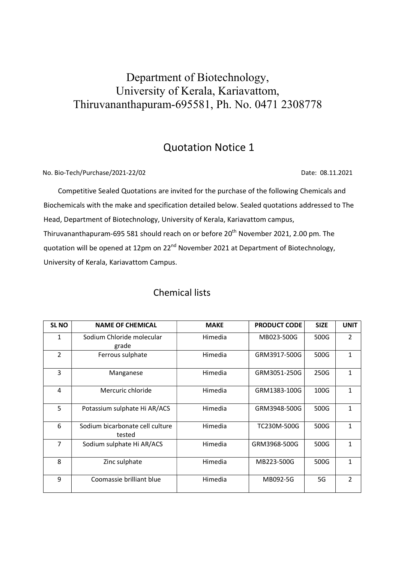## Department of Biotechnology, University of Kerala, Kariavattom, Thiruvananthapuram-695581, Ph. No. 0471 2308778

## Quotation Notice 1

No. Bio-Tech/Purchase/2021-22/02 Date: 08.11.2021

 Competitive Sealed Quotations are invited for the purchase of the following Chemicals and Biochemicals with the make and specification detailed below. Sealed quotations addressed to The Head, Department of Biotechnology, University of Kerala, Kariavattom campus, Thiruvananthapuram-695 581 should reach on or before 20<sup>th</sup> November 2021, 2.00 pm. The quotation will be opened at 12pm on 22<sup>nd</sup> November 2021 at Department of Biotechnology, University of Kerala, Kariavattom Campus.

| <b>SLNO</b>    | <b>NAME OF CHEMICAL</b>                   | <b>MAKE</b> | <b>PRODUCT CODE</b> | <b>SIZE</b> | <b>UNIT</b>    |
|----------------|-------------------------------------------|-------------|---------------------|-------------|----------------|
| 1              | Sodium Chloride molecular<br>grade        | Himedia     | MB023-500G          | 500G        | $\overline{2}$ |
| $\overline{2}$ | Ferrous sulphate                          | Himedia     | GRM3917-500G        | 500G        | $\mathbf{1}$   |
| 3              | Manganese                                 | Himedia     | GRM3051-250G        | 250G        | 1              |
| 4              | Mercuric chloride                         | Himedia     | GRM1383-100G        | 100G        | $\mathbf{1}$   |
| 5              | Potassium sulphate Hi AR/ACS              | Himedia     | GRM3948-500G        | 500G        | $\mathbf{1}$   |
| 6              | Sodium bicarbonate cell culture<br>tested | Himedia     | TC230M-500G         | 500G        | 1              |
| 7              | Sodium sulphate Hi AR/ACS                 | Himedia     | GRM3968-500G        | 500G        | 1              |
| 8              | Zinc sulphate                             | Himedia     | MB223-500G          | 500G        | 1              |
| 9              | Coomassie brilliant blue                  | Himedia     | MB092-5G            | 5G          | $\mathcal{P}$  |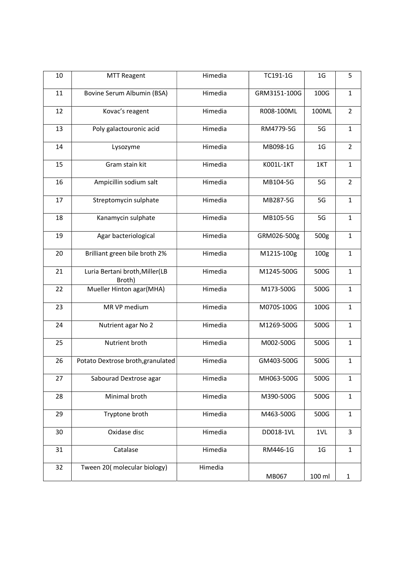| 10 | <b>MTT Reagent</b>                       | Himedia | TC191-1G     | 1 <sub>G</sub>   | 5              |
|----|------------------------------------------|---------|--------------|------------------|----------------|
| 11 | Bovine Serum Albumin (BSA)               | Himedia | GRM3151-100G | 100G             | $\mathbf{1}$   |
| 12 | Kovac's reagent                          | Himedia | R008-100ML   | 100ML            | $\overline{2}$ |
| 13 | Poly galactouronic acid                  | Himedia | RM4779-5G    | 5G               | $\mathbf{1}$   |
| 14 | Lysozyme                                 | Himedia | MB098-1G     | 1 <sub>G</sub>   | $\overline{2}$ |
| 15 | Gram stain kit                           | Himedia | K001L-1KT    | 1KT              | $\mathbf{1}$   |
| 16 | Ampicillin sodium salt                   | Himedia | MB104-5G     | 5G               | $\overline{2}$ |
| 17 | Streptomycin sulphate                    | Himedia | MB287-5G     | 5G               | $\mathbf{1}$   |
| 18 | Kanamycin sulphate                       | Himedia | MB105-5G     | 5G               | $\mathbf{1}$   |
| 19 | Agar bacteriological                     | Himedia | GRM026-500g  | 500g             | $\mathbf{1}$   |
| 20 | Brilliant green bile broth 2%            | Himedia | M121S-100g   | 100 <sub>g</sub> | $\mathbf{1}$   |
| 21 | Luria Bertani broth, Miller(LB<br>Broth) | Himedia | M1245-500G   | 500G             | $\mathbf{1}$   |
| 22 | Mueller Hinton agar(MHA)                 | Himedia | M173-500G    | 500G             | $\mathbf{1}$   |
| 23 | MR VP medium                             | Himedia | M070S-100G   | 100G             | $\mathbf{1}$   |
| 24 | Nutrient agar No 2                       | Himedia | M1269-500G   | 500G             | $\mathbf{1}$   |
| 25 | Nutrient broth                           | Himedia | M002-500G    | 500G             | $\mathbf{1}$   |
| 26 | Potato Dextrose broth, granulated        | Himedia | GM403-500G   | 500G             | $\mathbf{1}$   |
| 27 | Sabourad Dextrose agar                   | Himedia | MH063-500G   | 500G             | $\mathbf{1}$   |
| 28 | Minimal broth                            | Himedia | M390-500G    | 500G             | $\mathbf{1}$   |
| 29 | Tryptone broth                           | Himedia | M463-500G    | 500G             | $\mathbf{1}$   |
| 30 | Oxidase disc                             | Himedia | DD018-1VL    | 1VL              | $\overline{3}$ |
| 31 | Catalase                                 | Himedia | RM446-1G     | 1 <sub>G</sub>   | $\mathbf{1}$   |
| 32 | Tween 20(molecular biology)              | Himedia | MB067        | 100 ml           | $\mathbf{1}$   |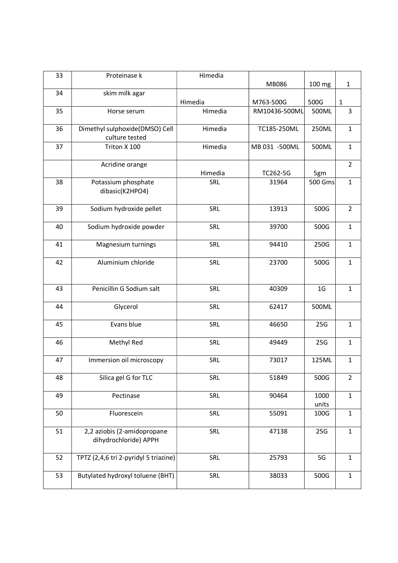| 33 | Proteinase k                                         | Himedia |               |                |                |
|----|------------------------------------------------------|---------|---------------|----------------|----------------|
|    |                                                      |         | MB086         | 100 mg         | $\mathbf{1}$   |
| 34 | skim milk agar                                       | Himedia | M763-500G     | 500G           | $\mathbf{1}$   |
| 35 | Horse serum                                          | Himedia | RM10436-500ML | 500ML          | 3              |
| 36 | Dimethyl sulphoxide(DMSO) Cell<br>culture tested     | Himedia | TC185-250ML   | 250ML          | $\mathbf{1}$   |
| 37 | Triton X 100                                         | Himedia | MB 031 -500ML | 500ML          | $\mathbf{1}$   |
|    | Acridine orange                                      | Himedia | TC262-5G      | 5gm            | $\overline{2}$ |
| 38 | Potassium phosphate<br>dibasic(K2HPO4)               | SRL     | 31964         | 500 Gms        | $\mathbf{1}$   |
| 39 | Sodium hydroxide pellet                              | SRL     | 13913         | 500G           | $\overline{2}$ |
| 40 | Sodium hydroxide powder                              | SRL     | 39700         | 500G           | $\mathbf{1}$   |
| 41 | Magnesium turnings                                   | SRL     | 94410         | 250G           | $\mathbf{1}$   |
| 42 | Aluminium chloride                                   | SRL     | 23700         | 500G           | $\mathbf{1}$   |
| 43 | Penicillin G Sodium salt                             | SRL     | 40309         | 1 <sub>G</sub> | $\mathbf{1}$   |
| 44 | Glycerol                                             | SRL     | 62417         | 500ML          |                |
| 45 | Evans blue                                           | SRL     | 46650         | 25G            | $\mathbf{1}$   |
| 46 | Methyl Red                                           | SRL     | 49449         | 25G            | $\mathbf{1}$   |
| 47 | Immersion oil microscopy                             | SRL     | 73017         | 125ML          | $\mathbf{1}$   |
| 48 | Silica gel G for TLC                                 | SRL     | 51849         | 500G           | $\overline{2}$ |
| 49 | Pectinase                                            | SRL     | 90464         | 1000<br>units  | $\mathbf{1}$   |
| 50 | Fluorescein                                          | SRL     | 55091         | 100G           | $\mathbf{1}$   |
| 51 | 2,2 aziobis (2-amidopropane<br>dihydrochloride) APPH | SRL     | 47138         | 25G            | $\mathbf 1$    |
| 52 | TPTZ (2,4,6 tri 2-pyridyl 5 triazine)                | SRL     | 25793         | 5G             | $\mathbf{1}$   |
| 53 | Butylated hydroxyl toluene (BHT)                     | SRL     | 38033         | 500G           | $\mathbf{1}$   |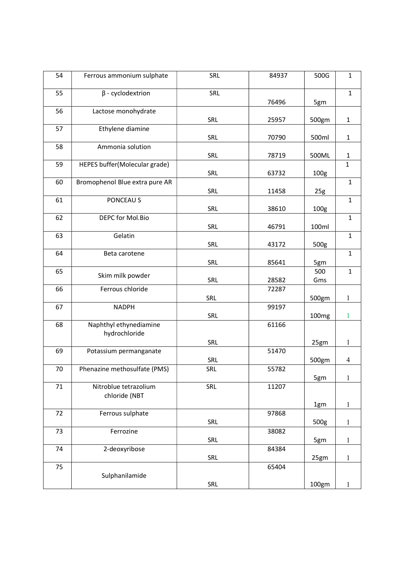| 54 | Ferrous ammonium sulphate               | SRL               | 84937 | 500G              | $\mathbf{1}$   |
|----|-----------------------------------------|-------------------|-------|-------------------|----------------|
| 55 | $\beta$ - cyclodextrion                 | SRL               | 76496 | 5gm               | $\mathbf{1}$   |
| 56 | Lactose monohydrate                     | <b>SRL</b>        | 25957 | 500gm             | $\mathbf{1}$   |
| 57 | Ethylene diamine                        | SRL               | 70790 | 500ml             | $\mathbf{1}$   |
| 58 | Ammonia solution                        | <b>SRL</b>        | 78719 | 500ML             | $\mathbf{1}$   |
| 59 | HEPES buffer(Molecular grade)           | <b>SRL</b>        | 63732 | 100g              | $\mathbf{1}$   |
| 60 | Bromophenol Blue extra pure AR          | <b>SRL</b>        | 11458 | 25g               | $\mathbf{1}$   |
| 61 | PONCEAU S                               | <b>SRL</b>        | 38610 | 100g              | $\mathbf{1}$   |
| 62 | DEPC for Mol.Bio                        | <b>SRL</b>        | 46791 | 100ml             | $\mathbf{1}$   |
| 63 | Gelatin                                 | <b>SRL</b>        | 43172 | 500g              | $\mathbf{1}$   |
| 64 | Beta carotene                           | <b>SRL</b>        | 85641 | 5gm               | $\mathbf{1}$   |
| 65 | Skim milk powder                        | <b>SRL</b>        | 28582 | 500<br>Gms        | $\mathbf{1}$   |
| 66 | Ferrous chloride                        | <b>SRL</b>        | 72287 | 500gm             | $\mathbf{1}$   |
| 67 | <b>NADPH</b>                            | SRL               | 99197 | 100 <sub>mg</sub> | $\mathbf{1}$   |
| 68 | Naphthyl ethynediamine<br>hydrochloride |                   | 61166 |                   |                |
| 69 | Potassium permanganate                  | SRL               | 51470 | 25gm              | $\mathbf{1}$   |
| 70 | Phenazine methosulfate (PMS)            | <b>SRL</b><br>SRL | 55782 | 500gm             | $\overline{4}$ |
| 71 | Nitroblue tetrazolium<br>chloride (NBT  | SRL               | 11207 | 5gm               | $\mathbf{1}$   |
| 72 | Ferrous sulphate                        |                   | 97868 | 1gm               | $\mathbf{1}$   |
| 73 | Ferrozine                               | SRL               | 38082 | 500g              | $\mathbf{1}$   |
| 74 | 2-deoxyribose                           | <b>SRL</b>        | 84384 | 5gm               | $\mathbf{1}$   |
| 75 |                                         | SRL               | 65404 | 25gm              | $\mathbf{1}$   |
|    | Sulphanilamide                          | <b>SRL</b>        |       | 100gm             | $\mathbf{1}$   |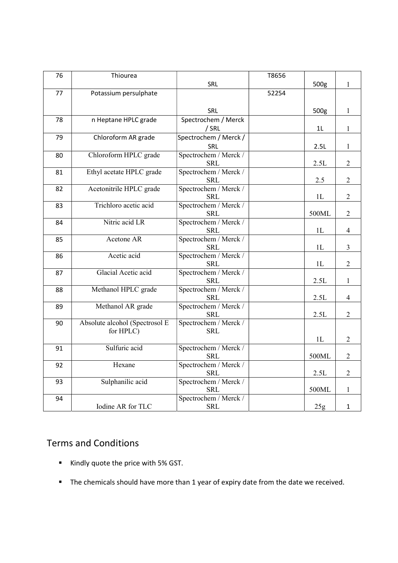| 76 | Thiourea                       |                                     | T8656 |                 |                |
|----|--------------------------------|-------------------------------------|-------|-----------------|----------------|
|    |                                | SRL                                 |       | 500g            | $\mathbf{1}$   |
| 77 | Potassium persulphate          |                                     | 52254 |                 |                |
|    |                                |                                     |       |                 |                |
|    |                                | SRL                                 |       | 500g            | $\mathbf{1}$   |
| 78 | n Heptane HPLC grade           | Spectrochem / Merck                 |       |                 |                |
|    |                                | /SRL                                |       | 1L              | $\mathbf{1}$   |
| 79 | Chloroform AR grade            | Spectrochem / Merck /               |       |                 |                |
|    |                                | SRL                                 |       | 2.5L            | $\mathbf{1}$   |
| 80 | Chloroform HPLC grade          | Spectrochem / Merck /               |       |                 |                |
|    |                                | <b>SRL</b>                          |       | 2.5L            | $\overline{2}$ |
| 81 | Ethyl acetate HPLC grade       | Spectrochem / Merck /               |       |                 |                |
|    |                                | <b>SRL</b>                          |       | 2.5             | $\mathbf{2}$   |
| 82 | Acetonitrile HPLC grade        | Spectrochem / Merck /               |       |                 |                |
|    | Trichloro acetic acid          | <b>SRL</b><br>Spectrochem / Merck / |       | 1L              | $\overline{2}$ |
| 83 |                                | <b>SRL</b>                          |       | 500ML           | 2              |
| 84 | Nitric acid LR                 | Spectrochem / Merck /               |       |                 |                |
|    |                                | <b>SRL</b>                          |       | 1L              | $\overline{4}$ |
| 85 | Acetone AR                     | Spectrochem / Merck /               |       |                 |                |
|    |                                | <b>SRL</b>                          |       | 1L              | $\overline{3}$ |
| 86 | Acetic acid                    | Spectrochem / Merck /               |       |                 |                |
|    |                                | <b>SRL</b>                          |       | 1L              | $\overline{2}$ |
| 87 | Glacial Acetic acid            | Spectrochem / Merck /               |       |                 |                |
|    |                                | <b>SRL</b>                          |       | 2.5L            | $\mathbf{1}$   |
| 88 | Methanol HPLC grade            | Spectrochem / Merck /               |       |                 |                |
|    |                                | <b>SRL</b>                          |       | 2.5L            | $\overline{4}$ |
| 89 | Methanol AR grade              | Spectrochem / Merck /               |       |                 |                |
|    |                                | <b>SRL</b>                          |       | 2.5L            | $\overline{2}$ |
| 90 | Absolute alcohol (Spectrosol E | Spectrochem / Merck /               |       |                 |                |
|    | for HPLC)                      | <b>SRL</b>                          |       |                 |                |
|    |                                |                                     |       | 1L              | $\overline{2}$ |
| 91 | Sulfuric acid                  | Spectrochem / Merck /               |       |                 |                |
|    | Hexane                         | <b>SRL</b><br>Spectrochem / Merck / |       | 500ML           | $\overline{2}$ |
| 92 |                                | <b>SRL</b>                          |       | 2.5L            | $\overline{2}$ |
| 93 | Sulphanilic acid               | Spectrochem / Merck /               |       |                 |                |
|    |                                | <b>SRL</b>                          |       | 500ML           | $\mathbf{1}$   |
| 94 |                                | Spectrochem / Merck /               |       |                 |                |
|    | Iodine AR for TLC              | <b>SRL</b>                          |       | 25 <sub>g</sub> | $\mathbf{1}$   |

## Terms and Conditions

- Kindly quote the price with 5% GST.
- The chemicals should have more than 1 year of expiry date from the date we received.